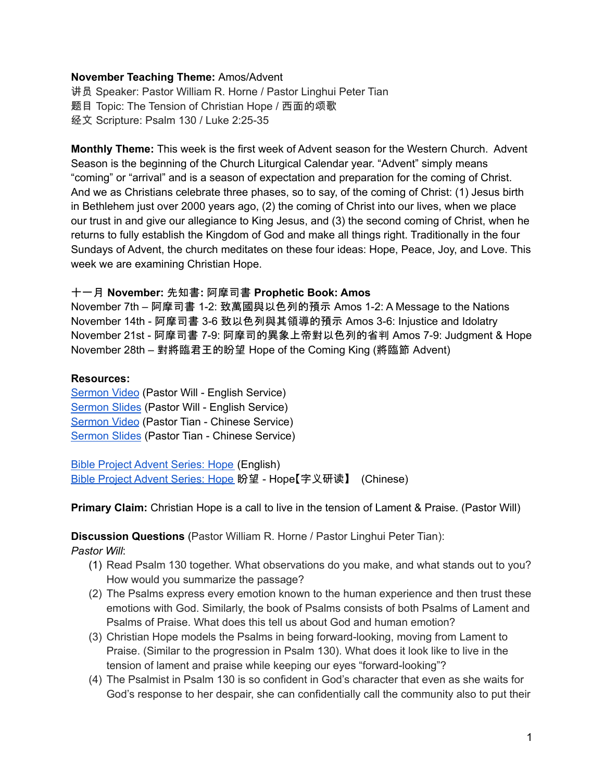#### **November Teaching Theme:** Amos/Advent

讲员 Speaker: Pastor William R. Horne / Pastor Linghui Peter Tian 题目 Topic: The Tension of Christian Hope / 西面的颂歌 经文 Scripture: Psalm 130 / Luke 2:25-35

**Monthly Theme:** This week is the first week of Advent season for the Western Church. Advent Season is the beginning of the Church Liturgical Calendar year. "Advent" simply means "coming" or "arrival" and is a season of expectation and preparation for the coming of Christ. And we as Christians celebrate three phases, so to say, of the coming of Christ: (1) Jesus birth in Bethlehem just over 2000 years ago, (2) the coming of Christ into our lives, when we place our trust in and give our allegiance to King Jesus, and (3) the second coming of Christ, when he returns to fully establish the Kingdom of God and make all things right. Traditionally in the four Sundays of Advent, the church meditates on these four ideas: Hope, Peace, Joy, and Love. This week we are examining Christian Hope.

#### 十一月 **November:** 先知書**:** 阿摩司書 **Prophetic Book: Amos**

November 7th – 阿摩司書 1-2: 致萬國與以色列的預示 Amos 1-2: A Message to the Nations November 14th - 阿摩司書 3-6 致以色列與其領導的預示 Amos 3-6: Injustice and Idolatry November 21st - 阿摩司書 7-9: 阿摩司的異象上帝對以色列的省判 Amos 7-9: Judgment & Hope November 28th – 對將臨君王的盼望 Hope of the Coming King (將臨節 Advent)

#### **Resources:**

[Sermon](https://youtu.be/cJpDqqOC9xY?t=10107) Video (Pastor Will - English Service) [Sermon](https://docs.google.com/presentation/d/1-h3i-Xt_7vI8qi98hxhDcNIdPi8P1_4ChPiutq44Ikc/edit?usp=sharing) Slides (Pastor Will - English Service) [Sermon](https://youtu.be/cJpDqqOC9xY?t=4263) Video (Pastor Tian - Chinese Service) [Sermon](https://docs.google.com/presentation/d/1Ad00VqMnuVYcHzbYYmUoQv-Hd4ufY6D5/edit?usp=sharing&ouid=111022305003760555164&rtpof=true&sd=true) Slides (Pastor Tian - Chinese Service)

Bible Project [Advent](https://bibleproject.com/explore/video/yakhal-hope/) Series: Hope (English) Bible Project [Advent](https://www.youtube.com/watch?v=1wR5M3zfFaE) Series: Hope 盼望 - Hope【字义研读】 (Chinese)

**Primary Claim:** Christian Hope is a call to live in the tension of Lament & Praise. (Pastor Will)

**Discussion Questions** (Pastor William R. Horne / Pastor Linghui Peter Tian):

*Pastor Will*:

- (1) Read Psalm 130 together. What observations do you make, and what stands out to you? How would you summarize the passage?
- (2) The Psalms express every emotion known to the human experience and then trust these emotions with God. Similarly, the book of Psalms consists of both Psalms of Lament and Psalms of Praise. What does this tell us about God and human emotion?
- (3) Christian Hope models the Psalms in being forward-looking, moving from Lament to Praise. (Similar to the progression in Psalm 130). What does it look like to live in the tension of lament and praise while keeping our eyes "forward-looking"?
- (4) The Psalmist in Psalm 130 is so confident in God's character that even as she waits for God's response to her despair, she can confidentially call the community also to put their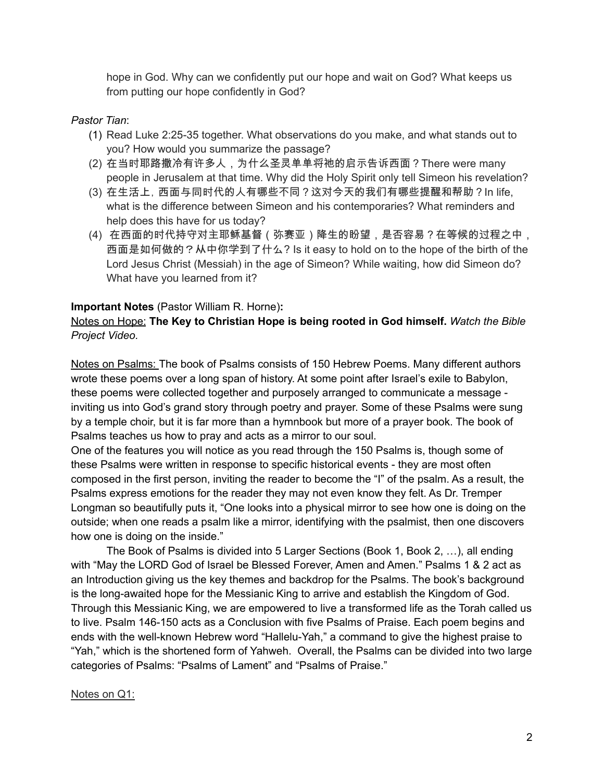hope in God. Why can we confidently put our hope and wait on God? What keeps us from putting our hope confidently in God?

# *Pastor Tian*:

- (1) Read Luke 2:25-35 together. What observations do you make, and what stands out to you? How would you summarize the passage?
- (2) 在当时耶路撒冷有许多人,为什么圣灵单单将祂的启示告诉西面?There were many people in Jerusalem at that time. Why did the Holy Spirit only tell Simeon his revelation?
- (3) 在生活上,西面与同时代的人有哪些不同?这对今天的我们有哪些提醒和帮助?In life, what is the difference between Simeon and his contemporaries? What reminders and help does this have for us today?
- (4) 在西面的时代持守对主耶稣基督(弥赛亚)降生的盼望,是否容易?在等候的过程之中, 西面是如何做的?从中你学到了什么? Is it easy to hold on to the hope of the birth of the Lord Jesus Christ (Messiah) in the age of Simeon? While waiting, how did Simeon do? What have you learned from it?

# **Important Notes** (Pastor William R. Horne)**:**

### Notes on Hope: **The Key to Christian Hope is being rooted in God himself.** *Watch the Bible Project Video.*

Notes on Psalms: The book of Psalms consists of 150 Hebrew Poems. Many different authors wrote these poems over a long span of history. At some point after Israel's exile to Babylon, these poems were collected together and purposely arranged to communicate a message inviting us into God's grand story through poetry and prayer. Some of these Psalms were sung by a temple choir, but it is far more than a hymnbook but more of a prayer book. The book of Psalms teaches us how to pray and acts as a mirror to our soul.

One of the features you will notice as you read through the 150 Psalms is, though some of these Psalms were written in response to specific historical events - they are most often composed in the first person, inviting the reader to become the "I" of the psalm. As a result, the Psalms express emotions for the reader they may not even know they felt. As Dr. Tremper Longman so beautifully puts it, "One looks into a physical mirror to see how one is doing on the outside; when one reads a psalm like a mirror, identifying with the psalmist, then one discovers how one is doing on the inside."

The Book of Psalms is divided into 5 Larger Sections (Book 1, Book 2, …), all ending with "May the LORD God of Israel be Blessed Forever, Amen and Amen." Psalms 1 & 2 act as an Introduction giving us the key themes and backdrop for the Psalms. The book's background is the long-awaited hope for the Messianic King to arrive and establish the Kingdom of God. Through this Messianic King, we are empowered to live a transformed life as the Torah called us to live. Psalm 146-150 acts as a Conclusion with five Psalms of Praise. Each poem begins and ends with the well-known Hebrew word "Hallelu-Yah," a command to give the highest praise to "Yah," which is the shortened form of Yahweh. Overall, the Psalms can be divided into two large categories of Psalms: "Psalms of Lament" and "Psalms of Praise."

# Notes on Q1: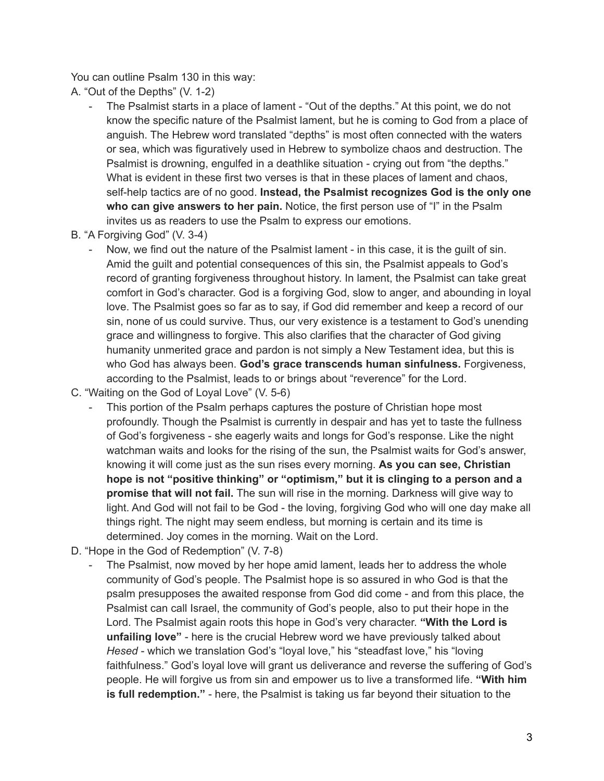You can outline Psalm 130 in this way:

A. "Out of the Depths" (V. 1-2)

- The Psalmist starts in a place of lament "Out of the depths." At this point, we do not know the specific nature of the Psalmist lament, but he is coming to God from a place of anguish. The Hebrew word translated "depths" is most often connected with the waters or sea, which was figuratively used in Hebrew to symbolize chaos and destruction. The Psalmist is drowning, engulfed in a deathlike situation - crying out from "the depths." What is evident in these first two verses is that in these places of lament and chaos, self-help tactics are of no good. **Instead, the Psalmist recognizes God is the only one who can give answers to her pain.** Notice, the first person use of "I" in the Psalm invites us as readers to use the Psalm to express our emotions.
- B. "A Forgiving God" (V. 3-4)
	- Now, we find out the nature of the Psalmist lament in this case, it is the quilt of sin. Amid the guilt and potential consequences of this sin, the Psalmist appeals to God's record of granting forgiveness throughout history. In lament, the Psalmist can take great comfort in God's character. God is a forgiving God, slow to anger, and abounding in loyal love. The Psalmist goes so far as to say, if God did remember and keep a record of our sin, none of us could survive. Thus, our very existence is a testament to God's unending grace and willingness to forgive. This also clarifies that the character of God giving humanity unmerited grace and pardon is not simply a New Testament idea, but this is who God has always been. **God's grace transcends human sinfulness.** Forgiveness, according to the Psalmist, leads to or brings about "reverence" for the Lord.
- C. "Waiting on the God of Loyal Love" (V. 5-6)
	- This portion of the Psalm perhaps captures the posture of Christian hope most profoundly. Though the Psalmist is currently in despair and has yet to taste the fullness of God's forgiveness - she eagerly waits and longs for God's response. Like the night watchman waits and looks for the rising of the sun, the Psalmist waits for God's answer, knowing it will come just as the sun rises every morning. **As you can see, Christian hope is not "positive thinking" or "optimism," but it is clinging to a person and a promise that will not fail.** The sun will rise in the morning. Darkness will give way to light. And God will not fail to be God - the loving, forgiving God who will one day make all things right. The night may seem endless, but morning is certain and its time is determined. Joy comes in the morning. Wait on the Lord.
- D. "Hope in the God of Redemption" (V. 7-8)
	- The Psalmist, now moved by her hope amid lament, leads her to address the whole community of God's people. The Psalmist hope is so assured in who God is that the psalm presupposes the awaited response from God did come - and from this place, the Psalmist can call Israel, the community of God's people, also to put their hope in the Lord. The Psalmist again roots this hope in God's very character. **"With the Lord is unfailing love"** - here is the crucial Hebrew word we have previously talked about *Hesed* - which we translation God's "loyal love," his "steadfast love," his "loving faithfulness." God's loyal love will grant us deliverance and reverse the suffering of God's people. He will forgive us from sin and empower us to live a transformed life. **"With him is full redemption."** - here, the Psalmist is taking us far beyond their situation to the